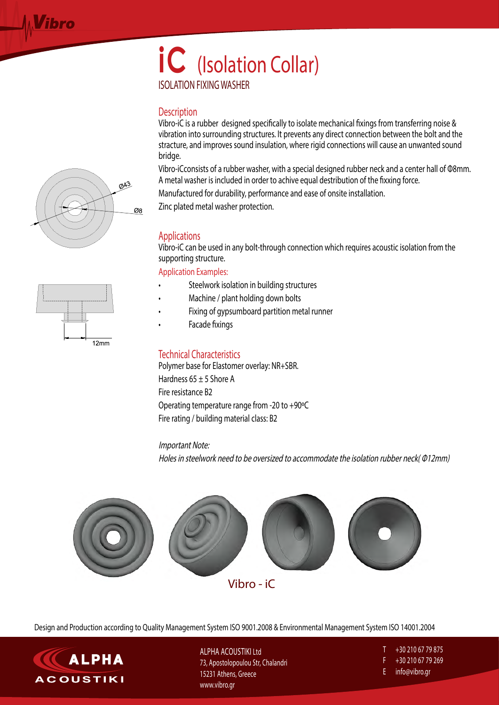## **iC** (Isolation Collar) ISOLATION FIXING WASHER

#### **Description**

Vibro-iC is a rubber designed specifically to isolate mechanical fixings from transferring noise & vibration into surrounding structures. It prevents any direct connection between the bolt and the stracture, and improves sound insulation, where rigid connections will cause an unwanted sound bridge.

Vibro-iCconsists of a rubber washer, with a special designed rubber neck and a center hall of Φ8mm. A metal washer is included in order to achive equal destribution of the fixxing force.

Manufactured for durability, performance and ease of onsite installation.

Zinc plated metal washer protection.

### Applications

Vibro-iC can be used in any bolt-through connection which requires acoustic isolation from the supporting structure.

Application Examples:

- Steelwork isolation in building structures
- Machine / plant holding down bolts
- Fixing of gypsumboard partition metal runner
- Facade fixings

#### Technical Characteristics

Polymer base for Elastomer overlay: NR+SBR. Hardness  $65 \pm 5$  Shore A Fire resistance B2 Operating temperature range from -20 to +90ºC Fire rating / building material class: B2

#### Important Note:

Holes in steelwork need to be oversized to accommodate the isolation rubber neck( Φ12mm)



Vibro - iC

Design and Production according to Quality Management System ISO 9001.2008 & Environmental Management System ISO 14001.2004



ΑLPHA ACOUSTIKI Ltd 73, Apostolopoulou Str, Chalandri 15231 Athens, Greece www.vibro.gr

- Τ +30 210 67 79 875
- F +30 210 67 79 269
- E info@vibro.gr